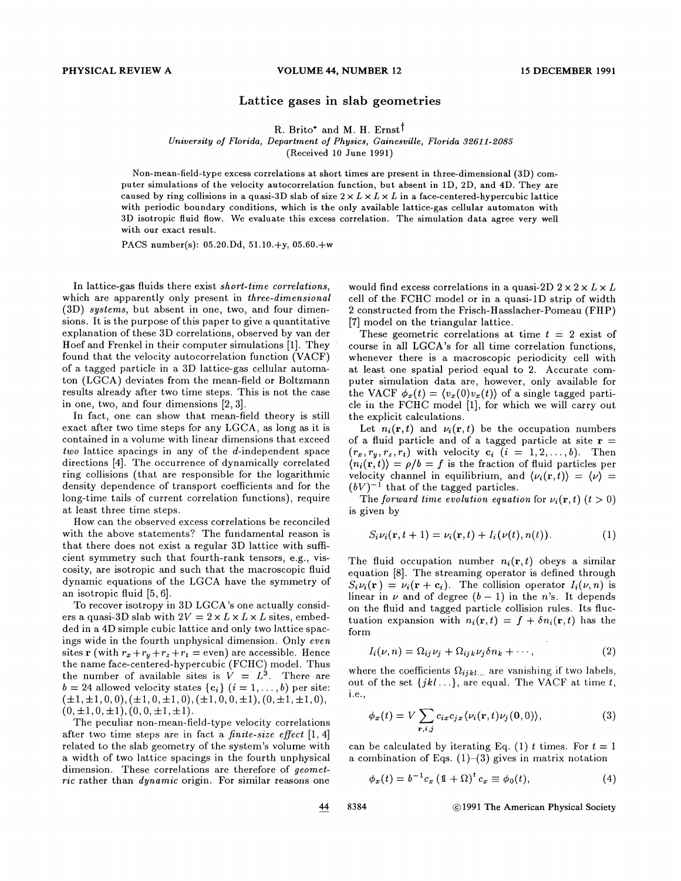## Lattice gases in slab geometries

R. Brito\* and M. H. Ernst<sup>†</sup>

University of Florida, Department of Physics, Gainesville, Florida 32611-2085

(Received 10 June 1991)

Non-mean-field-type excess correlations at short times are present in three-dimensional (3D) computer simulations of the velocity autocorrelation function, but absent in 1D, 2D, and 4D. They are caused by ring collisions in a quasi-3D slab of size  $2 \times L \times L \times L$  in a face-centered-hypercubic lattice with periodic boundary conditions, which is the only available lattice-gas cellular automaton with 3D isotropic fluid flow. We evaluate this excess correlation. The simulation data agree very well with our exact result.

PACS number(s): 05.20.Dd, 51.10.+y, 05.60.+w

In lattice-gas fluids there exist short-time correlations, which are apparently only present in *three-dimensional* (SD) systems, but absent in one, two, and four dimensions. It is the purpose of this paper to give a quantitative explanation of these 3D correlations, observed by van der Hoef and Frenkel in their computer simulations [1]. They found that the velocity autocorrelation function (VACF) of a tagged particle in a 3D lattice-gas cellular automaton (LGCA) deviates from the mean-field or Boltzmann results already after two time steps. This is not the case in one, two, and four dimensions [2, 3].

In fact, one can show that mean-field theory is still exact after two time steps for any LGCA, as long as it is contained in a volume with linear dimensions that exceed two lattice spacings in any of the d-independent space directions [4). The occurrence of dynamically correlated ring collisions (that are responsible for the logarithmic density dependence of transport coefficients and for the long-time tails of current correlation functions), require at least three time steps.

How can the observed excess correlations be reconciled with the above statements? The fundamental reason is that there does not exist a regular 3D lattice with sufficient symmetry such that fourth-rank tensors, e.g., viscosity, are isotropic and such that the macroscopic fiuid dynamic equations of the LGCA have the symmetry of an isotropic fluid [5, 6].

To recover isotropy in 3D LGCA's one actually considers a quasi-3D slab with  $2V = 2 \times L \times L \times L$  sites, embedded in a 4D simple cubic lattice and only two lattice spacings wide in the fourth unphysical dimension. Only even sites r (with  $r_x+r_y+r_z+r_t$  = even) are accessible. Hence the name face-centered-hypercubic (FCHC) model. Thus the number of available sites is  $\hat{V} = L^3$ . There are  $b = 24$  allowed velocity states  $\{c_i\}$   $(i = 1, \ldots, b)$  per site:  $(\pm 1, \pm 1, 0, 0), (\pm 1, 0, \pm 1, 0), (\pm 1, 0, 0, \pm 1), (0, \pm 1, \pm 1, 0),$  $(0, \pm 1, 0, \pm 1), (0, 0, \pm 1, \pm 1).$ 

The peculiar non-mean-field-type velocity correlations after two time steps are in fact a finite-size effect  $[1, 4]$ related to the slab geometry of the system's volume with a width of two lattice spacings in the fourth unphysical dimension, These correlations are therefore of geometric rather than *dynamic* origin. For similar reasons one would find excess correlations in a quasi-2D  $2 \times 2 \times L \times L$ cell of the FCHC model or in a quasi-1D strip of width 2 constructed from the Frisch-Hasslacher-Pomeau (FHP) [7] model on the triangular lattice.

These geometric correlations at time  $t = 2$  exist of course in all LGCA's for all time correlation functions, whenever there is a macroscopic periodicity cell with at least one spatial period equal to 2. Accurate computer simulation data are, however, only available for the VACF  $\phi_x(t) = \langle v_x(0)v_x(t) \rangle$  of a single tagged particle in the FCHC model [1], for which we will carry out the explicit calculations.

Let  $n_i(\mathbf{r}, t)$  and  $\nu_i(\mathbf{r}, t)$  be the occupation numbers of a fluid particle and of a tagged particle at site  $r =$  $(r_x, r_y, r_z, r_t)$  with velocity  $c_i$   $(i = 1, 2, ..., b)$ . Then  $\langle n_i(\mathbf{r}, t) \rangle = \rho/b = f$  is the fraction of fluid particles per velocity channel in equilibrium, and  $\langle \nu_i({\bf r},t) \rangle = \langle \nu \rangle =$  $(bV)^{-1}$  that of the tagged particles.

The forward time evolution equation for  $\nu_i(\mathbf{r},t)$   $(t>0)$ is given by

$$
S_i\nu_i(\mathbf{r},t+1) = \nu_i(\mathbf{r},t) + I_i(\nu(t),n(t)).
$$
\n(1)

The fluid occupation number  $n_i(\mathbf{r}, t)$  obeys a similar equation [8]. The streaming operator is defined through  $S_i \nu_i(\mathbf{r}) = \nu_i(\mathbf{r} + \mathbf{c}_i)$ . The collision operator  $I_i(\nu, n)$  is linear in  $\nu$  and of degree  $(b-1)$  in the n's. It depends on the fiuid and tagged particle collision rules. Its fluctuation expansion with  $n_i(\mathbf{r}, t) = f + \delta n_i(\mathbf{r}, t)$  has the form

$$
I_i(\nu, n) = \Omega_{ij} \nu_j + \Omega_{ijk} \nu_j \delta n_k + \cdots, \qquad (2)
$$

where the coefficients  $\Omega_{ijkl...}$  are vanishing if two labels, out of the set  $\{jkl\ldots\}$ , are equal. The VACF at time t, i.e.,

$$
\phi_x(t) = V \sum_{\mathbf{r}, i, j} c_{ix} c_{jx} \langle \nu_i(\mathbf{r}, t) \nu_j(0, 0) \rangle, \tag{3}
$$

can be calculated by iterating Eq. (1) t times. For  $t = 1$ a combination of Eqs.  $(1)-(3)$  gives in matrix notation (d by iterating Eq. (1)<br>
of Eqs. (1)–(3) gives in<br>  $c_x (1 + \Omega)^t c_x \equiv \phi_0(t),$ 

$$
\phi_x(t) = b^{-1}c_x \left(\mathbb{1} + \Omega\right)^t c_x \equiv \phi_0(t), \tag{4}
$$

44

8384 61991 The American Physical Society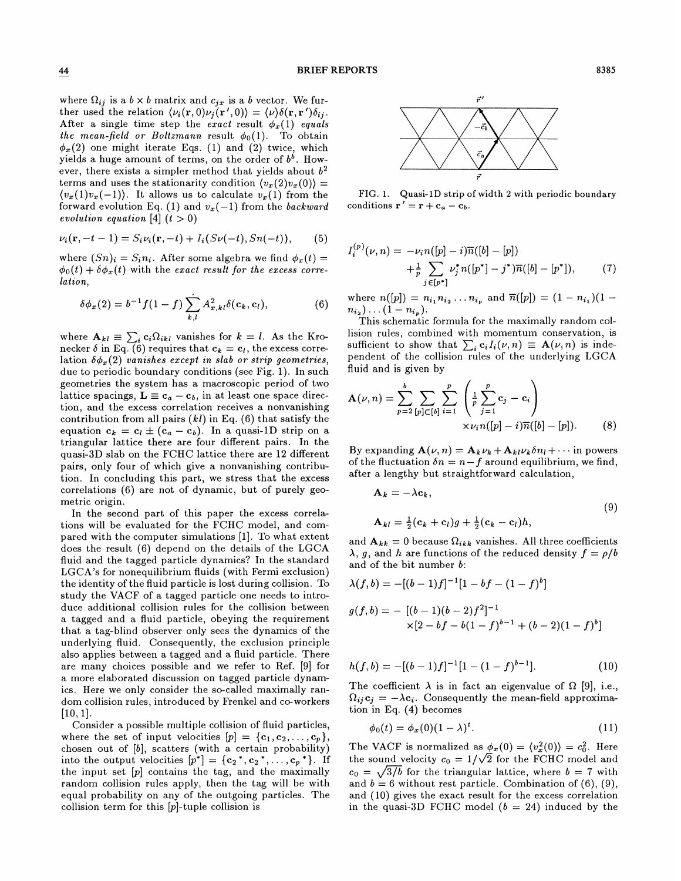where  $\Omega_{ij}$  is a  $b \times b$  matrix and  $c_{jx}$  is a b vector. We further used the relation  $\langle \nu_i(\mathbf{r},0) \nu_j(\mathbf{r}',0) \rangle = \langle \nu \rangle \delta(\mathbf{r},\mathbf{r}') \delta_{ij}$ . After a single time step the exact result  $\phi_x(1)$  equals the mean-field or Boltzmann result  $\phi_0(1)$ . To obtain (2) one might iterate Eqs. (1) and (2) twice, which yields a huge amount of terms, on the order of  $b^b$ . However, there exists a simpler method that yields about  $b<sup>2</sup>$ terms and uses the stationarity condition  $\langle v_x (2) v_x (0) \rangle =$  $\langle v_x(1)v_x(-1)\rangle$ . It allows us to calculate  $v_x(1)$  from the forward evolution Eq. (1) and  $v_x(-1)$  from the backward evolution equation [4]  $(t > 0)$ 

$$
\nu_i(\mathbf{r}, -t-1) = S_i \nu_i(\mathbf{r}, -t) + I_i(S\nu(-t), Sn(-t)), \qquad (5)
$$

where  $(Sn)_i = S_i n_i$ . After some algebra we find  $\phi_x(t) =$  $\phi_0(t) + \delta \phi_x(t)$  with the exact result for the excess correlation,

$$
\delta \phi_x(2) = b^{-1} f(1-f) \sum_{k,l} A_{x,kl}^2 \delta(\mathbf{c}_k, \mathbf{c}_l), \tag{6}
$$

where  $\mathbf{A}_{kl} \equiv \sum_i c_i \Omega_{ikl}$  vanishes for  $k = l$ . As the Kronecker  $\delta$  in Eq. (6) requires that  $c_k = c_l$ , the excess correlation  $\delta \phi_x(2)$  vanishes except in slab or strip geometries, due to periodic boundary conditions (see Fig. 1). In such geometries the system has a macroscopic period of two lattice spacings,  $\mathbf{L} \equiv \mathbf{c}_a - \mathbf{c}_b$ , in at least one space direction, and the excess correlation receives a nonvanishing contribution from all pairs  $(kl)$  in Eq.  $(6)$  that satisfy the equation  $c_k = c_l \pm (c_a - c_b)$ . In a quasi-1D strip on a triangular lattice there are four different pairs. In the quasi-3D slab on the FCHC lattice there are 12 different pairs, only four of which give a nonvanishing contribution. In concluding this part, we stress that the excess correlations (6) are not of dynamic, but of purely geometric origin.

In the second part of this paper the excess correlations will be evaluated for the FCHC model, and compared with the computer simulations [1].To what extent does the result (6) depend on the details of the LGCA fluid and the tagged particle dynamics? In the standard LGCA's for nonequilibrium fluids (with Fermi exclusion) the identity of the fluid particle is lost during collision. To study the VACF of a tagged particle one needs to introduce additional collision rules for the collision between a tagged and a fluid particle, obeying the requirement that a tag-blind observer only sees the dynamics of the underlying fluid. Consequently, the exclusion principle also applies between a tagged and a fluid particle. There are many choices possible and we refer to Ref. [9] for a more elaborated discussion on tagged particle dynamics. Here we only consider the so-called maximally random collision rules, introduced by Frenkel and co-workers [10, 1].

Consider a possible multiple collision of fiuid particles, where the set of input velocities  $[p] = \{c_1, c_2, \ldots, c_p\},\$ chosen out of [b], scatters (with a certain probability) into the output velocities  $[p^*] = \{c_2^*, c_2^*, \ldots, c_p^*\}$ . If the input set  $[p]$  contains the tag, and the maximally random collision rules apply, then the tag will be with equal probability on any of the outgoing particles. The collision term for this  $[p]$ -tuple collision is



FIG. 1. Quasi-1D strip of width 2 with periodic boundary conditions  $\mathbf{r}' = \mathbf{r} + \mathbf{c}_a - \mathbf{c}_b$ .

$$
I_i^{(p)}(\nu, n) = -\nu_i n([p] - i)\overline{n}([b] - [p])
$$
  
 
$$
+ \frac{1}{p} \sum_{j \in [p^*]} \nu_j^* n([p^*] - j^*)\overline{n}([b] - [p^*]), \qquad (7)
$$

where  $n([p]) = n_{i_1} n_{i_2} \ldots n_{i_p}$  and  $\overline{n}([p]) = (1 - n_{i_1})(1$  $n_{i_2}) \ldots (1 - n_{i_p}).$ 

This schematic formula for the maximally random collision rules, combined with momentum conservation, is sufficient to show that  $\sum_i c_i I_i(\nu, n) \equiv \mathbf{A}(\nu, n)$  is independent of the collision rules of the underlying LGCA fluid and is given by

$$
\mathbf{A}(\nu, n) = \sum_{p=2}^{b} \sum_{[p] \subset [b]} \sum_{i=1}^{p} \left( \frac{1}{p} \sum_{j=1}^{p} \mathbf{c}_{j} - \mathbf{c}_{i} \right) \times \nu_{i} n([p] - i) \overline{n}([b] - [p]). \tag{8}
$$

By expanding  $\mathbf{A}(\nu, n) = \mathbf{A}_k \nu_k + \mathbf{A}_{kl} \nu_k \delta n_l + \cdots$  in powers of the fluctuation  $\delta n = n - f$  around equilibrium, we find, after a lengthy but straightforward calculation,

$$
\mathbf{A}_k = -\lambda \mathbf{c}_k, \n\mathbf{A}_{kl} = \frac{1}{2} (\mathbf{c}_k + \mathbf{c}_l) g + \frac{1}{2} (\mathbf{c}_k - \mathbf{c}_l) h,
$$
\n(9)

and  $\mathbf{A}_{kk} = 0$  because  $\Omega_{ikk}$  vanishes. All three coefficients  $\lambda$ , g, and h are functions of the reduced density  $f = \rho/b$ and of the bit number b:

$$
\lambda(f, b) = -[(b-1)f]^{-1}[1 - bf - (1 - f)^{b}]
$$
  

$$
g(f, b) = -[(b-1)(b-2)f^{2}]^{-1}
$$
  

$$
\times [2 - bf - b(1 - f)^{b-1} + (b-2)(1 - f)^{b}]
$$

$$
h(f,b) = -[(b-1)f]^{-1}[1-(1-f)^{b-1}].
$$
\n(10)

The coefficient  $\lambda$  is in fact an eigenvalue of  $\Omega$  [9], i.e.,  $\Omega_{ij} c_j = -\lambda c_i$ . Consequently the mean-field approximation in Eq. (4) becomes

$$
\phi_0(t) = \phi_x(0)(1-\lambda)^t. \tag{11}
$$

The VACF is normalized as  $\phi_x(0) = \langle v_x^2(0) \rangle = c_0^2$ . Here the sound velocity  $c_0 = 1/\sqrt{2}$  for the FCHC model and  $c_0 = \sqrt{3/b}$  for the triangular lattice, where  $b = 7$  with and  $b = 6$  without rest particle. Combination of (6), (9), and (10) gives the exact result for the excess correlation in the quasi-3D FCHC model  $(b = 24)$  induced by the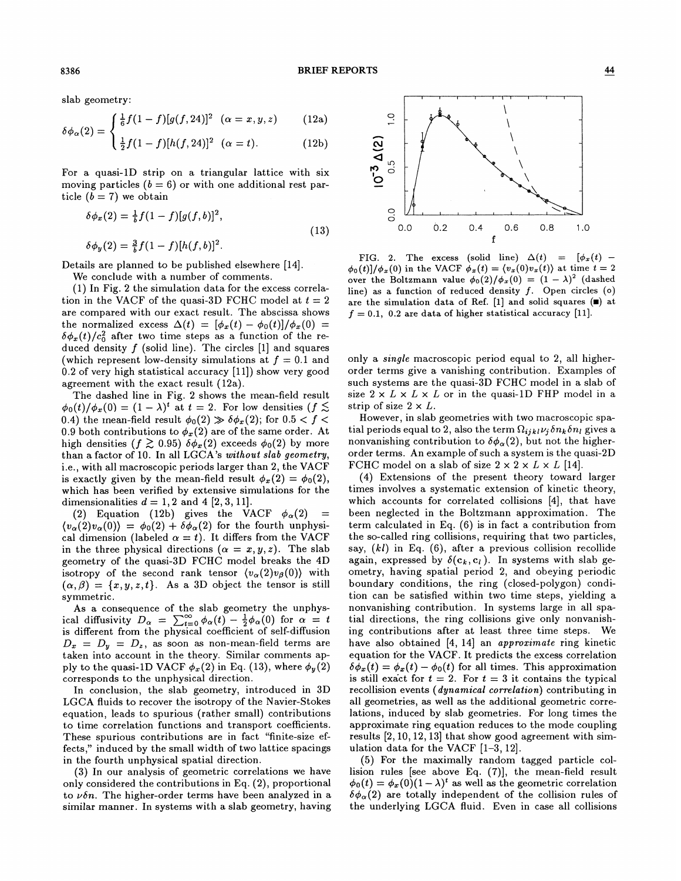slab geometry:

$$
\delta\phi_{\alpha}(2) = \begin{cases} \frac{1}{6}f(1-f)[g(f,24)]^2 & (\alpha = x, y, z) \\ 0 & (12a) \end{cases}
$$

$$
\sqrt{\phi_{\alpha}(2)} = \frac{1}{2}f(1-f)[h(f,24)]^2 \quad (\alpha = t). \tag{12b}
$$

For a quasi-1D strip on a triangular lattice with six moving particles  $(b = 6)$  or with one additional rest particle  $(b = 7)$  we obtain

$$
\delta \phi_x(2) = \frac{1}{b} f(1 - f)[g(f, b)]^2,
$$
  
\n
$$
\delta \phi_y(2) = \frac{3}{b} f(1 - f)[h(f, b)]^2.
$$
\n(13)

Details are planned to be published elsewhere [14].

We conclude with a number of comments.

(1) In Fig. 2 the simulation data for the excess correlation in the VACF of the quasi-3D FCHC model at  $t = 2$ are compared with our exact result. The abscissa shows the normalized excess  $\Delta(t) = [\phi_x(t) - \phi_0(t)]/\phi_x(0) =$  $\delta \phi_x(t)/c_0^2$  after two time steps as a function of the reduced density  $f$  (solid line). The circles [1] and squares (which represent low-density simulations at  $f = 0.1$  and 0.2 of very high statistical accuracy [ll]) show very good agreement with the exact result (12a).

The dashed line in Fig. 2 shows the mean-field result  $\phi_0(t)/\phi_x(0) = (1-\lambda)^t$  at  $t = 2$ . For low densities  $(f \lesssim$ 0.4) the inean-field result  $\phi_0(2) \gg \delta \phi_x(2)$ ; for  $0.5 < f <$ 0.9 both contributions to  $\phi_x(2)$  are of the same order. At high densities  $(f \gtrsim 0.95) \delta \phi_x(2)$  exceeds  $\phi_0(2)$  by more than a factor of 10. In all LGCA's without slab geometry, i.e., with all macroscopic periods larger than 2, the VACF is exactly given by the mean-field result  $\phi_x(2) = \phi_0(2)$ , which has been verified by extensive simulations for the dimensionalities  $d = 1, 2$  and 4 [2, 3, 11].

(2) Equation (12b) gives the VACF  $\phi_{\alpha}(2)$  =  $\langle v_{\alpha}(2)v_{\alpha}(0)\rangle = \phi_0(2) + \delta\phi_{\alpha}(2)$  for the fourth unphysical dimension (labeled  $\alpha = t$ ). It differs from the VACF in the three physical directions  $(\alpha = x, y, z)$ . The slab geometry of the quasi-3D FCHC model breaks the 4D isotropy of the second rank tensor  $\langle v_{\alpha}(2)v_{\beta}(0)\rangle$  with  $(\alpha, \beta) = \{x, y, z, t\}.$  As a 3D object the tensor is still symmetric.

As a consequence of the slab geometry the unphysical diffusivity  $D_{\alpha} = \sum_{t=0}^{\infty} \phi_{\alpha}(t) - \frac{1}{2} \phi_{\alpha}(0)$  for  $\alpha = t$ is different from the physical coefficient of self-diffusion  $D_x = D_y = D_z$ , as soon as non-mean-field terms are taken into account in the theory. Similar comments apply to the quasi-1D VACF  $\phi_x(2)$  in Eq. (13), where  $\phi_y(2)$ corresponds to the unphysical direction.

In conclusion, the slab geometry, introduced in 3D LGCA fluids to recover the isotropy of the Navier-Stokes equation, leads to spurious (rather small) contributions to time correlation functions and transport coefficients. These spurious contributions are in fact "finite-size effects," induced by the small width of two lattice spacings in the fourth unphysical spatial direction.

(3) In our analysis of geometric correlations we have only considered the contributions in Eq. (2), proportional to  $\nu \delta n$ . The higher-order terms have been analyzed in a similar manner. In systems with a slab geometry, having



FIG. 2. The excess (solid line)  $\Delta(t) = [\phi_x(t) \phi_0(t)/\phi_x(0)$  in the VACF  $\phi_x(t) = \langle v_x(0)v_x(t) \rangle$  at time  $t = 2$ over the Boltzmann value  $\phi_0(2)/\phi_x(0) = (1 - \lambda)^2$  (dashed line) as a function of reduced density  $f$ . Open circles (o) are the simulation data of Ref. [1] and solid squares  $(\blacksquare)$  at  $f = 0.1$ , 0.2 are data of higher statistical accuracy [11].

only a single macroscopic period equal to 2, all higherorder terms give a vanishing contribution. Examples of such systems are the quasi-3D FCHC model in a slab of size  $2 \times L \times L \times L$  or in the quasi-1D FHP model in a strip of size  $2 \times L$ .

However, in slab geometries with two macroscopic spatial periods equal to 2, also the term  $\Omega_{i j k l} \nu_i \delta n_k \delta n_l$  gives a nonvanishing contribution to  $\delta \phi_\alpha(2)$ , but not the higherorder terms. An example of such a system is the quasi-2D FCHC model on a slab of size  $2 \times 2 \times L \times L$  [14].

(4) Extensions of the present theory toward larger times involves a systematic extension of kinetic theory, which accounts for correlated collisions [4], that have been neglected in the Boltzmann approximation. The term calculated in Eq. (6) is in fact a contribution from the so-called ring collisions, requiring that two particles, say,  $(kl)$  in Eq.  $(6)$ , after a previous collision recollide again, expressed by  $\delta(c_k, c_l)$ . In systems with slab geometry, having spatial period 2, and obeying periodic boundary conditions, the ring (closed-polygon) condition can be satisfied within two time steps, yielding a nonvanishing contribution. In systems large in all spatial directions, the ring collisions give only nonvanishing contributions after at least three time steps. We have also obtained [4, 14] an *approximate* ring kinetic equation for the VACF. It predicts the excess correlation  $\delta\phi_x(t) = \phi_x(t) - \phi_0(t)$  for all times. This approximation is still exact for  $t = 2$ . For  $t = 3$  it contains the typical recollision events (*dynamical correlation*) contributing in all geometries, as well as the additional geometric correlations, induced by slab geometries. For long times the approximate ring equation reduces to the mode coupling results [2, 10, 12, 13] that show good agreement with simulation data for the VACF [1—3, 12].

(5) For the maximally random tagged particle collision rules [see above Eq. (7)], the mean-field result  $\phi_0(t) = \phi_x(0)(1-\lambda)^t$  as well as the geometric correlation  $\delta\phi_{\alpha}(2)$  are totally independent of the collision rules of the underlying LGCA fluid. Even in case all collisions

8386